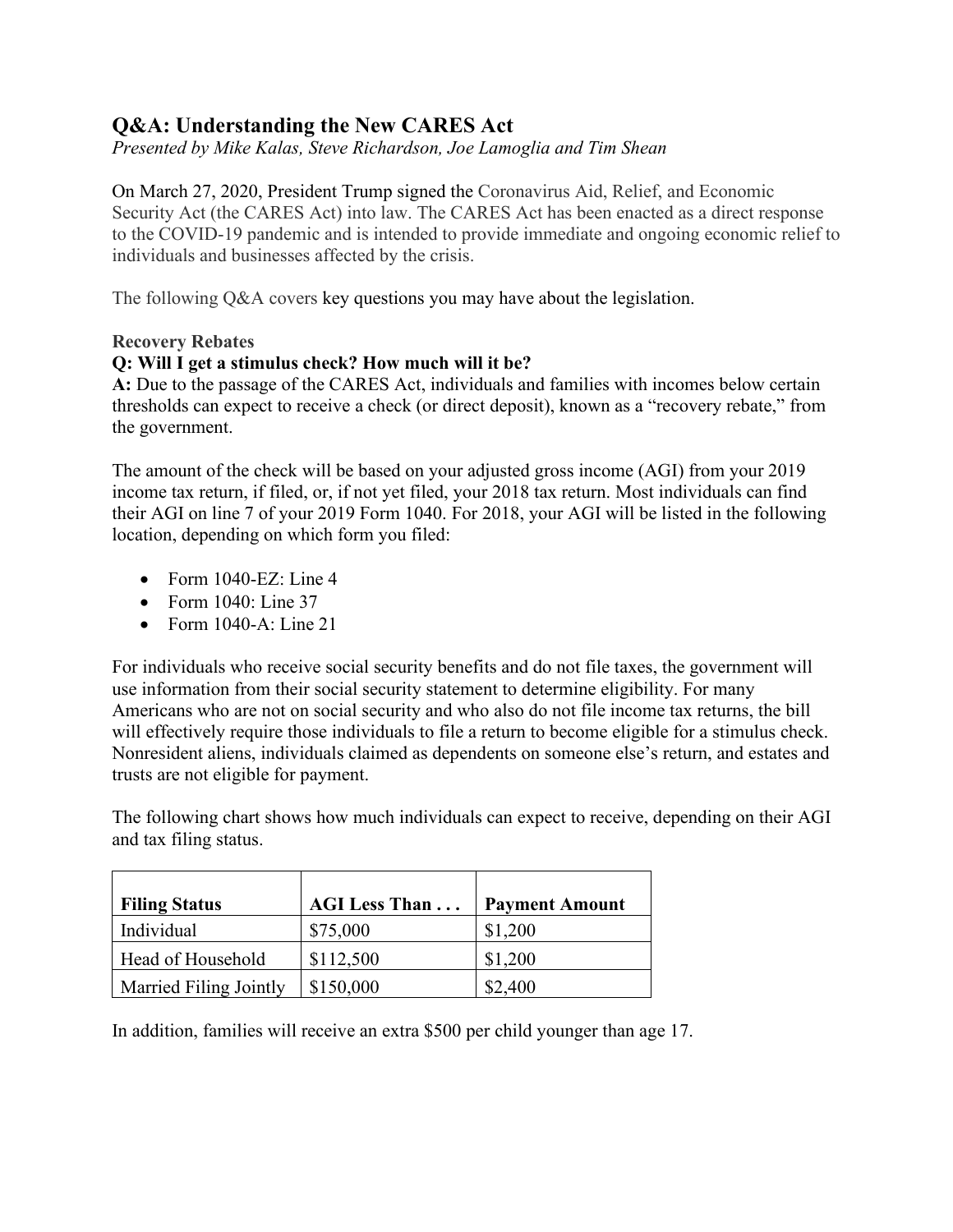# **Q&A: Understanding the New CARES Act**

*Presented by Mike Kalas, Steve Richardson, Joe Lamoglia and Tim Shean*

On March 27, 2020, President Trump signed the Coronavirus Aid, Relief, and Economic Security Act (the CARES Act) into law. The CARES Act has been enacted as a direct response to the COVID-19 pandemic and is intended to provide immediate and ongoing economic relief to individuals and businesses affected by the crisis.

The following Q&A covers key questions you may have about the legislation.

### **Recovery Rebates**

## **Q: Will I get a stimulus check? How much will it be?**

**A:** Due to the passage of the CARES Act, individuals and families with incomes below certain thresholds can expect to receive a check (or direct deposit), known as a "recovery rebate," from the government.

The amount of the check will be based on your adjusted gross income (AGI) from your 2019 income tax return, if filed, or, if not yet filed, your 2018 tax return. Most individuals can find their AGI on line 7 of your 2019 Form 1040. For 2018, your AGI will be listed in the following location, depending on which form you filed:

- Form  $1040$ -EZ: Line 4
- Form 1040: Line 37
- Form 1040-A: Line 21

For individuals who receive social security benefits and do not file taxes, the government will use information from their social security statement to determine eligibility. For many Americans who are not on social security and who also do not file income tax returns, the bill will effectively require those individuals to file a return to become eligible for a stimulus check. Nonresident aliens, individuals claimed as dependents on someone else's return, and estates and trusts are not eligible for payment.

The following chart shows how much individuals can expect to receive, depending on their AGI and tax filing status.

| <b>Filing Status</b>   | <b>AGI Less Than</b> | <b>Payment Amount</b> |
|------------------------|----------------------|-----------------------|
| Individual             | \$75,000             | \$1,200               |
| Head of Household      | \$112,500            | \$1,200               |
| Married Filing Jointly | \$150,000            | \$2,400               |

In addition, families will receive an extra \$500 per child younger than age 17.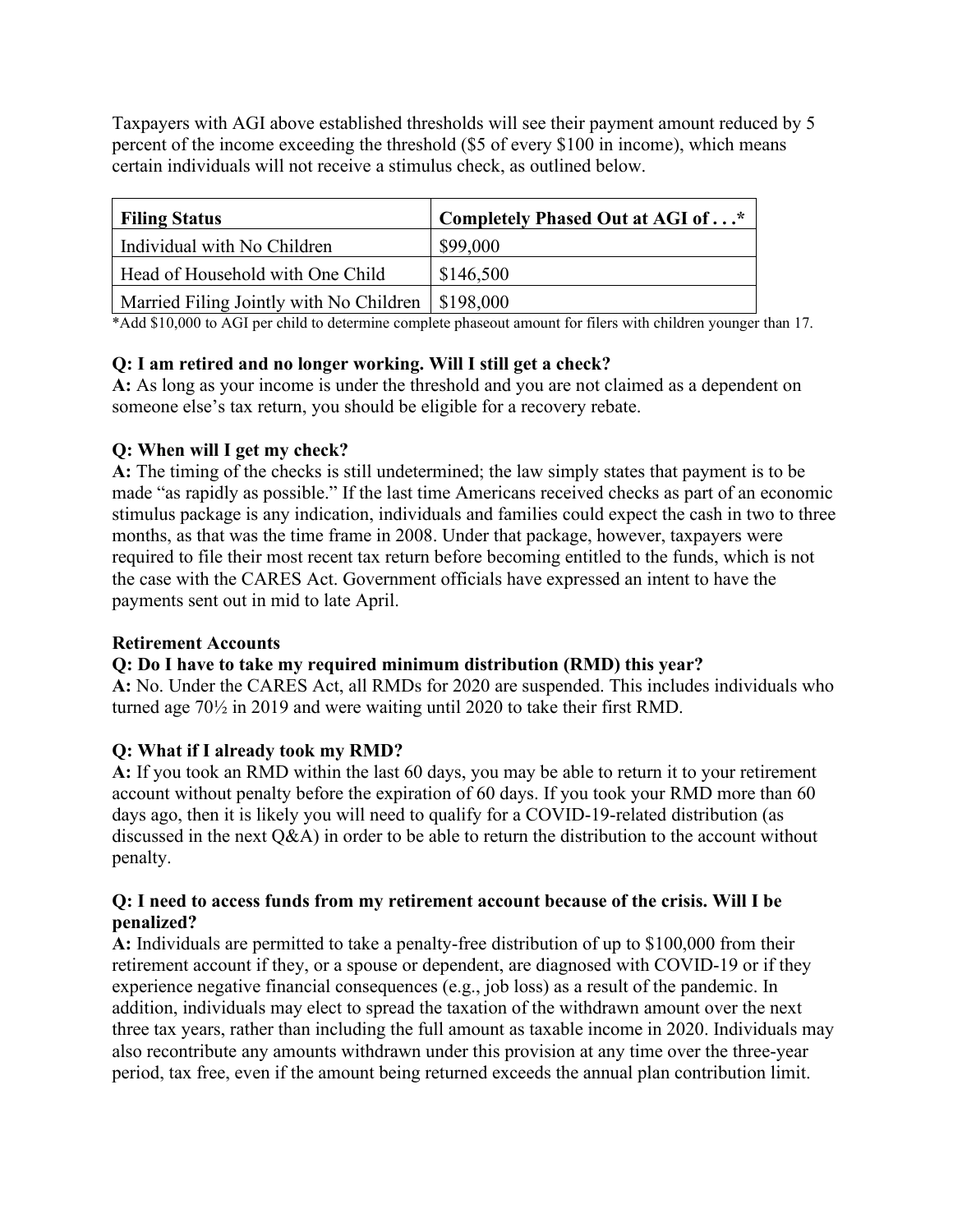Taxpayers with AGI above established thresholds will see their payment amount reduced by 5 percent of the income exceeding the threshold (\$5 of every \$100 in income), which means certain individuals will not receive a stimulus check, as outlined below.

| <b>Filing Status</b>                                | Completely Phased Out at AGI of* |
|-----------------------------------------------------|----------------------------------|
| Individual with No Children                         | \$99,000                         |
| Head of Household with One Child                    | \$146,500                        |
| Married Filing Jointly with No Children   \$198,000 |                                  |

\*Add \$10,000 to AGI per child to determine complete phaseout amount for filers with children younger than 17.

## **Q: I am retired and no longer working. Will I still get a check?**

**A:** As long as your income is under the threshold and you are not claimed as a dependent on someone else's tax return, you should be eligible for a recovery rebate.

## **Q: When will I get my check?**

**A:** The timing of the checks is still undetermined; the law simply states that payment is to be made "as rapidly as possible." If the last time Americans received checks as part of an economic stimulus package is any indication, individuals and families could expect the cash in two to three months, as that was the time frame in 2008. Under that package, however, taxpayers were required to file their most recent tax return before becoming entitled to the funds, which is not the case with the CARES Act. Government officials have expressed an intent to have the payments sent out in mid to late April.

## **Retirement Accounts**

## **Q: Do I have to take my required minimum distribution (RMD) this year?**

**A:** No. Under the CARES Act, all RMDs for 2020 are suspended. This includes individuals who turned age 70½ in 2019 and were waiting until 2020 to take their first RMD.

## **Q: What if I already took my RMD?**

**A:** If you took an RMD within the last 60 days, you may be able to return it to your retirement account without penalty before the expiration of 60 days. If you took your RMD more than 60 days ago, then it is likely you will need to qualify for a COVID-19-related distribution (as discussed in the next Q&A) in order to be able to return the distribution to the account without penalty.

## **Q: I need to access funds from my retirement account because of the crisis. Will I be penalized?**

**A:** Individuals are permitted to take a penalty-free distribution of up to \$100,000 from their retirement account if they, or a spouse or dependent, are diagnosed with COVID-19 or if they experience negative financial consequences (e.g., job loss) as a result of the pandemic. In addition, individuals may elect to spread the taxation of the withdrawn amount over the next three tax years, rather than including the full amount as taxable income in 2020. Individuals may also recontribute any amounts withdrawn under this provision at any time over the three-year period, tax free, even if the amount being returned exceeds the annual plan contribution limit.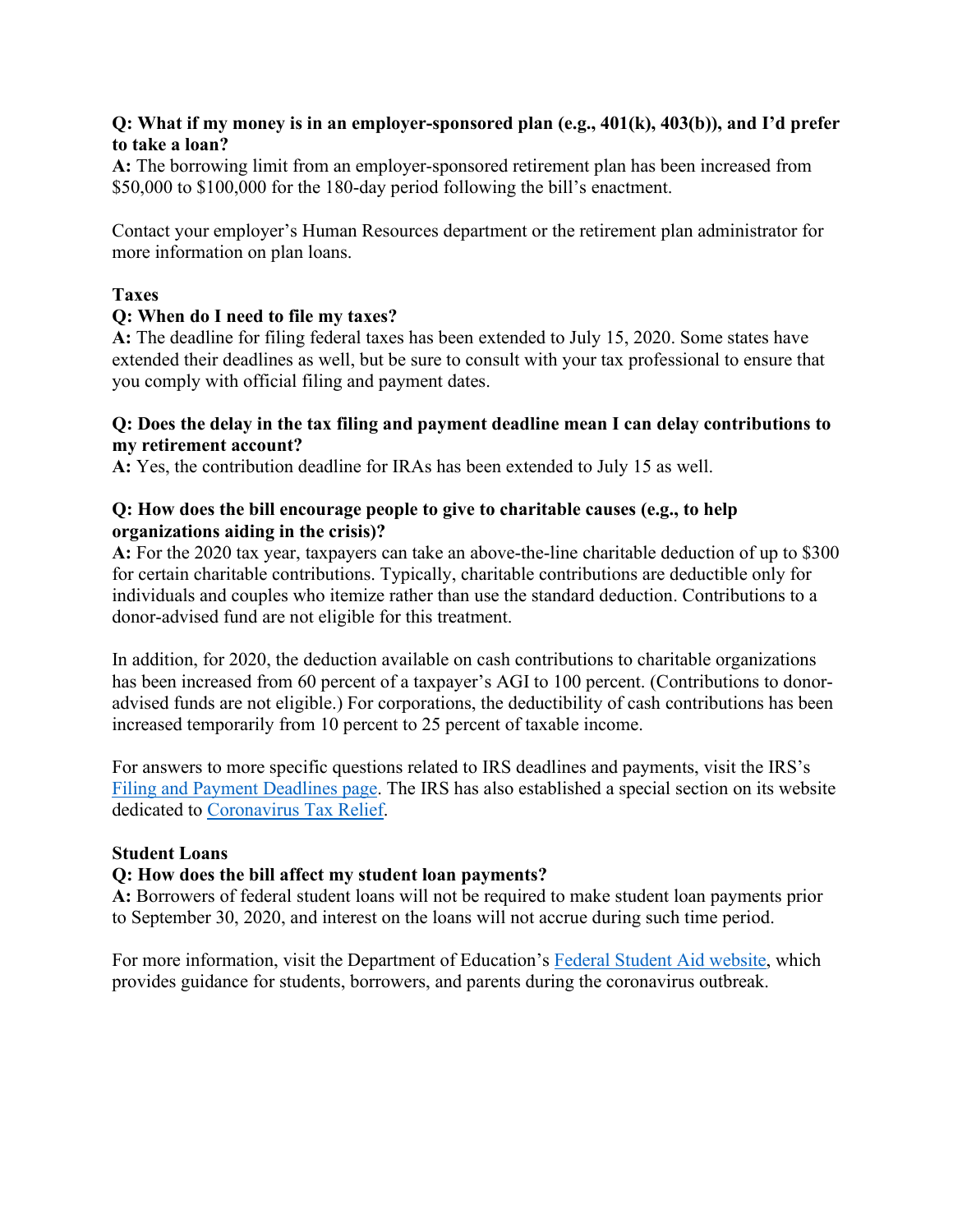### **Q: What if my money is in an employer-sponsored plan (e.g., 401(k), 403(b)), and I'd prefer to take a loan?**

**A:** The borrowing limit from an employer-sponsored retirement plan has been increased from \$50,000 to \$100,000 for the 180-day period following the bill's enactment.

Contact your employer's Human Resources department or the retirement plan administrator for more information on plan loans.

## **Taxes**

### **Q: When do I need to file my taxes?**

**A:** The deadline for filing federal taxes has been extended to July 15, 2020. Some states have extended their deadlines as well, but be sure to consult with your tax professional to ensure that you comply with official filing and payment dates.

### **Q: Does the delay in the tax filing and payment deadline mean I can delay contributions to my retirement account?**

**A:** Yes, the contribution deadline for IRAs has been extended to July 15 as well.

#### **Q: How does the bill encourage people to give to charitable causes (e.g., to help organizations aiding in the crisis)?**

**A:** For the 2020 tax year, taxpayers can take an above-the-line charitable deduction of up to \$300 for certain charitable contributions. Typically, charitable contributions are deductible only for individuals and couples who itemize rather than use the standard deduction. Contributions to a donor-advised fund are not eligible for this treatment.

In addition, for 2020, the deduction available on cash contributions to charitable organizations has been increased from 60 percent of a taxpayer's AGI to 100 percent. (Contributions to donoradvised funds are not eligible.) For corporations, the deductibility of cash contributions has been increased temporarily from 10 percent to 25 percent of taxable income.

For answers to more specific questions related to IRS deadlines and payments, visit the IRS's [Filing and Payment Deadlines page.](https://www.irs.gov/newsroom/filing-and-payment-deadlines-questions-and-answers) The IRS has also established a special section on its website dedicated to [Coronavirus Tax Relief.](https://www.irs.gov/coronavirus)

#### **Student Loans**

## **Q: How does the bill affect my student loan payments?**

**A:** Borrowers of federal student loans will not be required to make student loan payments prior to September 30, 2020, and interest on the loans will not accrue during such time period.

For more information, visit the Department of Education's [Federal Student Aid website,](https://studentaid.gov/announcements-events/coronavirus#borrower-questions) which provides guidance for students, borrowers, and parents during the coronavirus outbreak.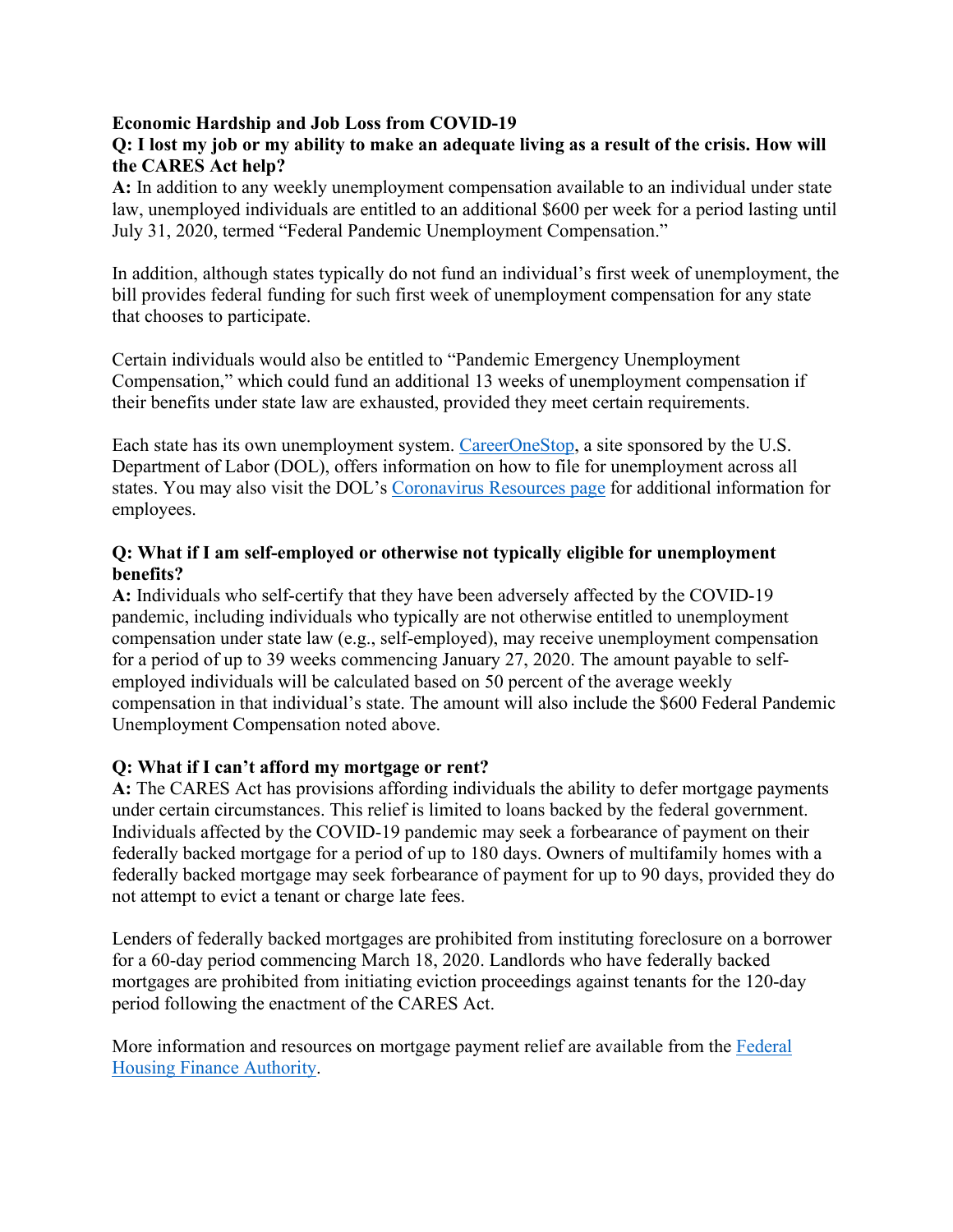## **Economic Hardship and Job Loss from COVID-19**

## **Q: I lost my job or my ability to make an adequate living as a result of the crisis. How will the CARES Act help?**

**A:** In addition to any weekly unemployment compensation available to an individual under state law, unemployed individuals are entitled to an additional \$600 per week for a period lasting until July 31, 2020, termed "Federal Pandemic Unemployment Compensation."

In addition, although states typically do not fund an individual's first week of unemployment, the bill provides federal funding for such first week of unemployment compensation for any state that chooses to participate.

Certain individuals would also be entitled to "Pandemic Emergency Unemployment Compensation," which could fund an additional 13 weeks of unemployment compensation if their benefits under state law are exhausted, provided they meet certain requirements.

Each state has its own unemployment system. [CareerOneStop,](https://www.careeronestop.org/LocalHelp/UnemploymentBenefits/find-unemployment-benefits.aspx) a site sponsored by the U.S. Department of Labor (DOL), offers information on how to file for unemployment across all states. You may also visit the DOL's [Coronavirus Resources page](https://www.dol.gov/coronavirus) for additional information for employees.

## **Q: What if I am self-employed or otherwise not typically eligible for unemployment benefits?**

**A:** Individuals who self-certify that they have been adversely affected by the COVID-19 pandemic, including individuals who typically are not otherwise entitled to unemployment compensation under state law (e.g., self-employed), may receive unemployment compensation for a period of up to 39 weeks commencing January 27, 2020. The amount payable to selfemployed individuals will be calculated based on 50 percent of the average weekly compensation in that individual's state. The amount will also include the \$600 Federal Pandemic Unemployment Compensation noted above.

## **Q: What if I can't afford my mortgage or rent?**

**A:** The CARES Act has provisions affording individuals the ability to defer mortgage payments under certain circumstances. This relief is limited to loans backed by the federal government. Individuals affected by the COVID-19 pandemic may seek a forbearance of payment on their federally backed mortgage for a period of up to 180 days. Owners of multifamily homes with a federally backed mortgage may seek forbearance of payment for up to 90 days, provided they do not attempt to evict a tenant or charge late fees.

Lenders of federally backed mortgages are prohibited from instituting foreclosure on a borrower for a 60-day period commencing March 18, 2020. Landlords who have federally backed mortgages are prohibited from initiating eviction proceedings against tenants for the 120-day period following the enactment of the CARES Act.

More information and resources on mortgage payment relief are available from the [Federal](https://www.fhfa.gov/Homeownersbuyer/MortgageAssistance/Pages/Coronavirus-Assistance-Information.aspx)  [Housing Finance Authority.](https://www.fhfa.gov/Homeownersbuyer/MortgageAssistance/Pages/Coronavirus-Assistance-Information.aspx)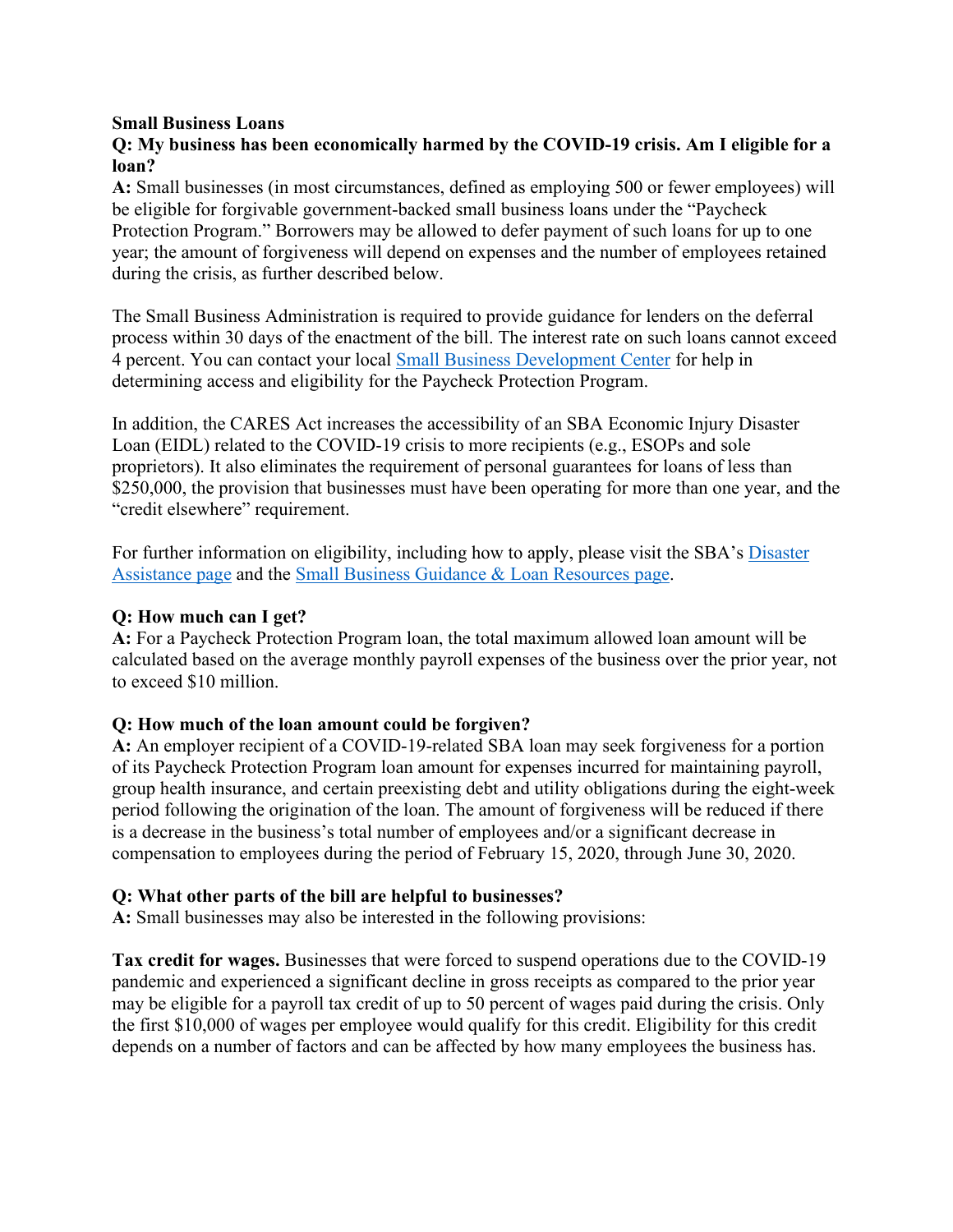#### **Small Business Loans**

## **Q: My business has been economically harmed by the COVID-19 crisis. Am I eligible for a loan?**

**A:** Small businesses (in most circumstances, defined as employing 500 or fewer employees) will be eligible for forgivable government-backed small business loans under the "Paycheck Protection Program." Borrowers may be allowed to defer payment of such loans for up to one year; the amount of forgiveness will depend on expenses and the number of employees retained during the crisis, as further described below.

The Small Business Administration is required to provide guidance for lenders on the deferral process within 30 days of the enactment of the bill. The interest rate on such loans cannot exceed 4 percent. You can contact your local [Small Business Development Center](https://www.sba.gov/tools/local-assistance/sbdc/) for help in determining access and eligibility for the Paycheck Protection Program.

In addition, the CARES Act increases the accessibility of an SBA Economic Injury Disaster Loan (EIDL) related to the COVID-19 crisis to more recipients (e.g., ESOPs and sole proprietors). It also eliminates the requirement of personal guarantees for loans of less than \$250,000, the provision that businesses must have been operating for more than one year, and the "credit elsewhere" requirement.

For further information on eligibility, including how to apply, please visit the SBA's [Disaster](https://disasterloan.sba.gov/ela/)  [Assistance page](https://disasterloan.sba.gov/ela/) and the [Small Business Guidance &](https://www.sba.gov/page/coronavirus-covid-19-small-business-guidance-loan-resources) Loan Resources page.

## **Q: How much can I get?**

**A:** For a Paycheck Protection Program loan, the total maximum allowed loan amount will be calculated based on the average monthly payroll expenses of the business over the prior year, not to exceed \$10 million.

## **Q: How much of the loan amount could be forgiven?**

**A:** An employer recipient of a COVID-19-related SBA loan may seek forgiveness for a portion of its Paycheck Protection Program loan amount for expenses incurred for maintaining payroll, group health insurance, and certain preexisting debt and utility obligations during the eight-week period following the origination of the loan. The amount of forgiveness will be reduced if there is a decrease in the business's total number of employees and/or a significant decrease in compensation to employees during the period of February 15, 2020, through June 30, 2020.

#### **Q: What other parts of the bill are helpful to businesses?**

**A:** Small businesses may also be interested in the following provisions:

**Tax credit for wages.** Businesses that were forced to suspend operations due to the COVID-19 pandemic and experienced a significant decline in gross receipts as compared to the prior year may be eligible for a payroll tax credit of up to 50 percent of wages paid during the crisis. Only the first \$10,000 of wages per employee would qualify for this credit. Eligibility for this credit depends on a number of factors and can be affected by how many employees the business has.